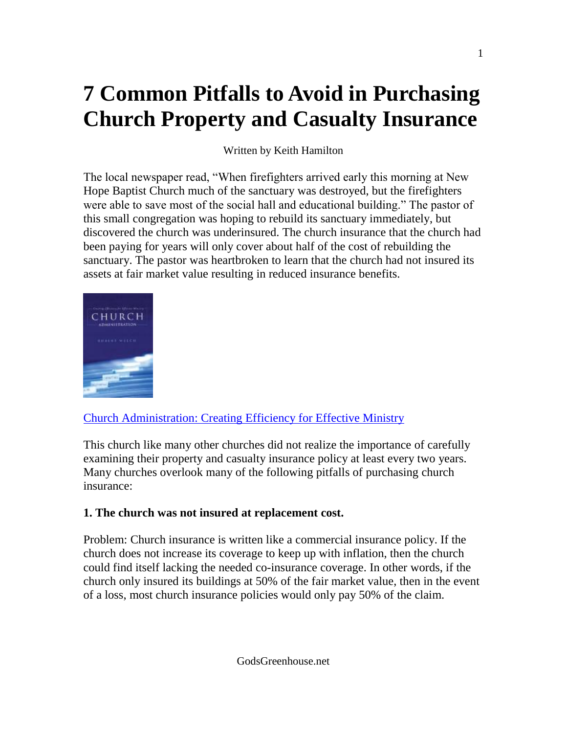# **7 Common Pitfalls to Avoid in Purchasing Church Property and Casualty Insurance**

Written by Keith Hamilton

The local newspaper read, "When firefighters arrived early this morning at New Hope Baptist Church much of the sanctuary was destroyed, but the firefighters were able to save most of the social hall and educational building." The pastor of this small congregation was hoping to rebuild its sanctuary immediately, but discovered the church was underinsured. The church insurance that the church had been paying for years will only cover about half of the cost of rebuilding the sanctuary. The pastor was heartbroken to learn that the church had not insured its assets at fair market value resulting in reduced insurance benefits.



## [Church Administration: Creating Efficiency for Effective Ministry](http://www.lifeway.com/product/?id=001259661)

This church like many other churches did not realize the importance of carefully examining their property and casualty insurance policy at least every two years. Many churches overlook many of the following pitfalls of purchasing church insurance:

## **1. The church was not insured at replacement cost.**

Problem: Church insurance is written like a commercial insurance policy. If the church does not increase its coverage to keep up with inflation, then the church could find itself lacking the needed co-insurance coverage. In other words, if the church only insured its buildings at 50% of the fair market value, then in the event of a loss, most church insurance policies would only pay 50% of the claim.

GodsGreenhouse.net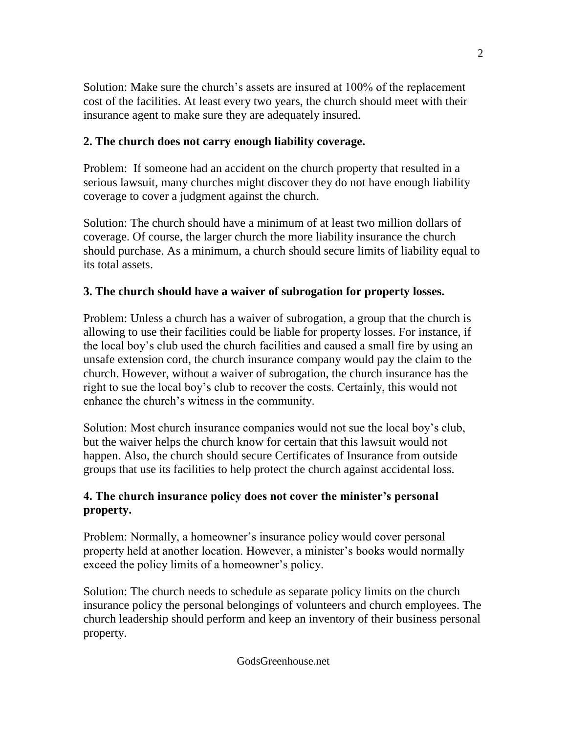Solution: Make sure the church's assets are insured at 100% of the replacement cost of the facilities. At least every two years, the church should meet with their insurance agent to make sure they are adequately insured.

## **2. The church does not carry enough liability coverage.**

Problem: If someone had an accident on the church property that resulted in a serious lawsuit, many churches might discover they do not have enough liability coverage to cover a judgment against the church.

Solution: The church should have a minimum of at least two million dollars of coverage. Of course, the larger church the more liability insurance the church should purchase. As a minimum, a church should secure limits of liability equal to its total assets.

## **3. The church should have a waiver of subrogation for property losses.**

Problem: Unless a church has a waiver of subrogation, a group that the church is allowing to use their facilities could be liable for property losses. For instance, if the local boy's club used the church facilities and caused a small fire by using an unsafe extension cord, the church insurance company would pay the claim to the church. However, without a waiver of subrogation, the church insurance has the right to sue the local boy's club to recover the costs. Certainly, this would not enhance the church's witness in the community.

Solution: Most church insurance companies would not sue the local boy's club, but the waiver helps the church know for certain that this lawsuit would not happen. Also, the church should secure Certificates of Insurance from outside groups that use its facilities to help protect the church against accidental loss.

### **4. The church insurance policy does not cover the minister's personal property.**

Problem: Normally, a homeowner's insurance policy would cover personal property held at another location. However, a minister's books would normally exceed the policy limits of a homeowner's policy.

Solution: The church needs to schedule as separate policy limits on the church insurance policy the personal belongings of volunteers and church employees. The church leadership should perform and keep an inventory of their business personal property.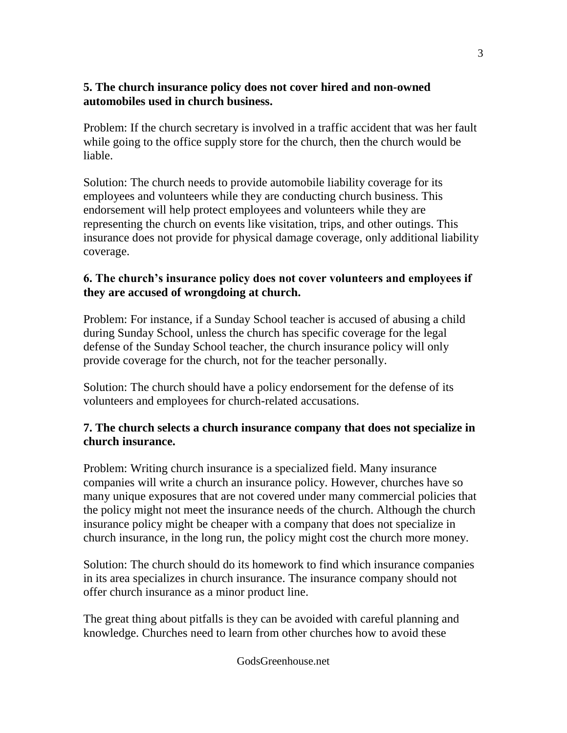### **5. The church insurance policy does not cover hired and non-owned automobiles used in church business.**

Problem: If the church secretary is involved in a traffic accident that was her fault while going to the office supply store for the church, then the church would be liable.

Solution: The church needs to provide automobile liability coverage for its employees and volunteers while they are conducting church business. This endorsement will help protect employees and volunteers while they are representing the church on events like visitation, trips, and other outings. This insurance does not provide for physical damage coverage, only additional liability coverage.

## **6. The church's insurance policy does not cover volunteers and employees if they are accused of wrongdoing at church.**

Problem: For instance, if a Sunday School teacher is accused of abusing a child during Sunday School, unless the church has specific coverage for the legal defense of the Sunday School teacher, the church insurance policy will only provide coverage for the church, not for the teacher personally.

Solution: The church should have a policy endorsement for the defense of its volunteers and employees for church-related accusations.

## **7. The church selects a church insurance company that does not specialize in church insurance.**

Problem: Writing church insurance is a specialized field. Many insurance companies will write a church an insurance policy. However, churches have so many unique exposures that are not covered under many commercial policies that the policy might not meet the insurance needs of the church. Although the church insurance policy might be cheaper with a company that does not specialize in church insurance, in the long run, the policy might cost the church more money.

Solution: The church should do its homework to find which insurance companies in its area specializes in church insurance. The insurance company should not offer church insurance as a minor product line.

The great thing about pitfalls is they can be avoided with careful planning and knowledge. Churches need to learn from other churches how to avoid these